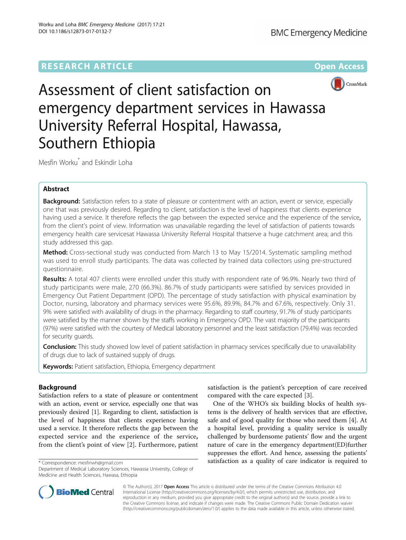# **RESEARCH ARTICLE Example 2018 12:00 Department 2018 12:00 Department 2018 12:00 Department 2018**



Assessment of client satisfaction on emergency department services in Hawassa University Referral Hospital, Hawassa, Southern Ethiopia

Mesfin Worku\* and Eskindir Loha

## Abstract

Background: Satisfaction refers to a state of pleasure or contentment with an action, event or service, especially one that was previously desired. Regarding to client, satisfaction is the level of happiness that clients experience having used a service. It therefore reflects the gap between the expected service and the experience of the service, from the client's point of view. Information was unavailable regarding the level of satisfaction of patients towards emergency health care servicesat Hawassa University Referral Hospital thatserve a huge catchment area; and this study addressed this gap.

Method: Cross-sectional study was conducted from March 13 to May 15/2014. Systematic sampling method was used to enroll study participants. The data was collected by trained data collectors using pre-structured questionnaire.

Results: A total 407 clients were enrolled under this study with respondent rate of 96.9%. Nearly two third of study participants were male, 270 (66.3%). 86.7% of study participants were satisfied by services provided in Emergency Out Patient Department (OPD). The percentage of study satisfaction with physical examination by Doctor, nursing, laboratory and pharmacy services were 95.6%, 89.9%, 84.7% and 67.6%, respectively. Only 31. 9% were satisfied with availability of drugs in the pharmacy. Regarding to staff courtesy, 91.7% of study participants were satisfied by the manner shown by the staffs working in Emergency OPD. The vast majority of the participants (97%) were satisfied with the courtesy of Medical laboratory personnel and the least satisfaction (79.4%) was recorded for security guards.

**Conclusion:** This study showed low level of patient satisfaction in pharmacy services specifically due to unavailability of drugs due to lack of sustained supply of drugs.

Keywords: Patient satisfaction, Ethiopia, Emergency department

## Background

Satisfaction refers to a state of pleasure or contentment with an action, event or service, especially one that was previously desired [\[1](#page-4-0)]. Regarding to client, satisfaction is the level of happiness that clients experience having used a service. It therefore reflects the gap between the expected service and the experience of the service, from the client's point of view [[2\]](#page-4-0). Furthermore, patient

satisfaction is the patient's perception of care received compared with the care expected [[3\]](#page-4-0).

One of the WHO's six building blocks of health systems is the delivery of health services that are effective, safe and of good quality for those who need them [\[4](#page-4-0)]. At a hospital level, providing a quality service is usually challenged by burdensome patients' flow and the urgent nature of care in the emergency department(ED)further suppresses the effort. And hence, assessing the patients' \* Correspondence: [mesfinwh@gmail.com](mailto:mesfinwh@gmail.com) satisfaction as a quality of care indicator is required to



© The Author(s). 2017 Open Access This article is distributed under the terms of the Creative Commons Attribution 4.0 International License [\(http://creativecommons.org/licenses/by/4.0/](http://creativecommons.org/licenses/by/4.0/)), which permits unrestricted use, distribution, and reproduction in any medium, provided you give appropriate credit to the original author(s) and the source, provide a link to the Creative Commons license, and indicate if changes were made. The Creative Commons Public Domain Dedication waiver [\(http://creativecommons.org/publicdomain/zero/1.0/](http://creativecommons.org/publicdomain/zero/1.0/)) applies to the data made available in this article, unless otherwise stated.

Department of Medical Laboratory Sciences, Hawassa University, College of Medicine and Health Sciences, Hawasa, Ethiopia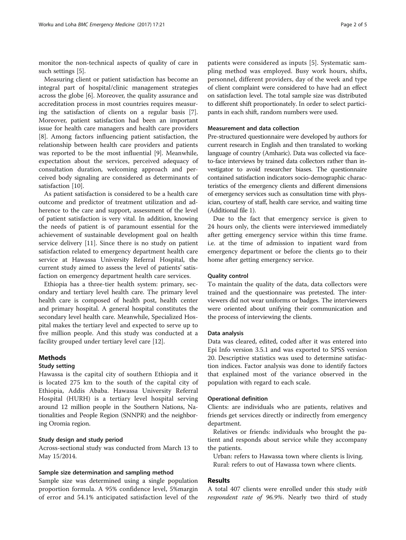monitor the non-technical aspects of quality of care in such settings [[5](#page-4-0)].

Measuring client or patient satisfaction has become an integral part of hospital/clinic management strategies across the globe [[6\]](#page-4-0). Moreover, the quality assurance and accreditation process in most countries requires measuring the satisfaction of clients on a regular basis [\[7](#page-4-0)]. Moreover, patient satisfaction had been an important issue for health care managers and health care providers [[8\]](#page-4-0). Among factors influencing patient satisfaction, the relationship between health care providers and patients was reported to be the most influential [\[9](#page-4-0)]. Meanwhile, expectation about the services, perceived adequacy of consultation duration, welcoming approach and perceived body signaling are considered as determinants of satisfaction [\[10](#page-4-0)].

As patient satisfaction is considered to be a health care outcome and predictor of treatment utilization and adherence to the care and support, assessment of the level of patient satisfaction is very vital. In addition, knowing the needs of patient is of paramount essential for the achievement of sustainable development goal on health service delivery [\[11](#page-4-0)]. Since there is no study on patient satisfaction related to emergency department health care service at Hawassa University Referral Hospital, the current study aimed to assess the level of patients' satisfaction on emergency department health care services.

Ethiopia has a three-tier health system: primary, secondary and tertiary level health care. The primary level health care is composed of health post, health center and primary hospital. A general hospital constitutes the secondary level health care. Meanwhile, Specialized Hospital makes the tertiary level and expected to serve up to five million people. And this study was conducted at a facility grouped under tertiary level care [[12\]](#page-4-0).

## Methods

### Study setting

Hawassa is the capital city of southern Ethiopia and it is located 275 km to the south of the capital city of Ethiopia, Addis Ababa. Hawassa University Referral Hospital (HURH) is a tertiary level hospital serving around 12 million people in the Southern Nations, Nationalities and People Region (SNNPR) and the neighboring Oromia region.

## Study design and study period

Across-sectional study was conducted from March 13 to May 15/2014.

#### Sample size determination and sampling method

Sample size was determined using a single population proportion formula. A 95% confidence level, 5%margin of error and 54.1% anticipated satisfaction level of the

patients were considered as inputs [[5\]](#page-4-0). Systematic sampling method was employed. Busy work hours, shifts, personnel, different providers, day of the week and type of client complaint were considered to have had an effect on satisfaction level. The total sample size was distributed to different shift proportionately. In order to select participants in each shift, random numbers were used.

### Measurement and data collection

Pre-structured questionnaire were developed by authors for current research in English and then translated to working language of country (Amharic). Data was collected via faceto-face interviews by trained data collectors rather than investigator to avoid researcher biases. The questionnaire contained satisfaction indicators socio-demographic characteristics of the emergency clients and different dimensions of emergency services such as consultation time with physician, courtesy of staff, health care service, and waiting time (Additional file [1\)](#page-4-0).

Due to the fact that emergency service is given to 24 hours only, the clients were interviewed immediately after getting emergency service within this time frame. i.e. at the time of admission to inpatient ward from emergency department or before the clients go to their home after getting emergency service.

### Quality control

To maintain the quality of the data, data collectors were trained and the questionnaire was pretested. The interviewers did not wear uniforms or badges. The interviewers were oriented about unifying their communication and the process of interviewing the clients.

#### Data analysis

Data was cleared, edited, coded after it was entered into Epi Info version 3.5.1 and was exported to SPSS version 20. Descriptive statistics was used to determine satisfaction indices. Factor analysis was done to identify factors that explained most of the variance observed in the population with regard to each scale.

### Operational definition

Clients: are individuals who are patients, relatives and friends get services directly or indirectly from emergency department.

Relatives or friends: individuals who brought the patient and responds about service while they accompany the patients.

Urban: refers to Hawassa town where clients is living. Rural: refers to out of Hawassa town where clients.

## Results

A total 407 clients were enrolled under this study with respondent rate of 96.9%. Nearly two third of study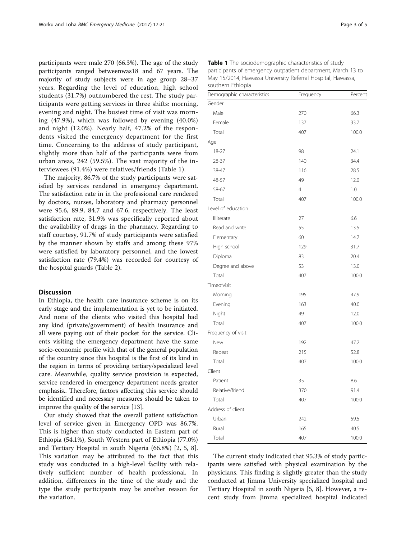participants were male 270 (66.3%). The age of the study participants ranged betweenwas18 and 67 years. The majority of study subjects were in age group 28–37 years. Regarding the level of education, high school students (31.7%) outnumbered the rest. The study participants were getting services in three shifts: morning, evening and night. The busiest time of visit was morning (47.9%), which was followed by evening (40.0%) and night (12.0%). Nearly half, 47.2% of the respondents visited the emergency department for the first time. Concerning to the address of study participant, slightly more than half of the participants were from urban areas, 242 (59.5%). The vast majority of the interviewees (91.4%) were relatives/friends (Table 1).

The majority, 86.7% of the study participants were satisfied by services rendered in emergency department. The satisfaction rate in in the professional care rendered by doctors, nurses, laboratory and pharmacy personnel were 95.6, 89.9, 84.7 and 67.6, respectively. The least satisfaction rate, 31.9% was specifically reported about the availability of drugs in the pharmacy. Regarding to staff courtesy, 91.7% of study participants were satisfied by the manner shown by staffs and among these 97% were satisfied by laboratory personnel, and the lowest satisfaction rate (79.4%) was recorded for courtesy of the hospital guards (Table [2](#page-3-0)).

## Discussion

In Ethiopia, the health care insurance scheme is on its early stage and the implementation is yet to be initiated. And none of the clients who visited this hospital had any kind (private/government) of health insurance and all were paying out of their pocket for the service. Clients visiting the emergency department have the same socio-economic profile with that of the general population of the country since this hospital is the first of its kind in the region in terms of providing tertiary/specialized level care. Meanwhile, quality service provision is expected, service rendered in emergency department needs greater emphasis.. Therefore, factors affecting this service should be identified and necessary measures should be taken to improve the quality of the service [[13](#page-4-0)].

Our study showed that the overall patient satisfaction level of service given in Emergency OPD was 86.7%. This is higher than study conducted in Eastern part of Ethiopia (54.1%), South Western part of Ethiopia (77.0%) and Tertiary Hospital in south Nigeria (66.8%) [[2, 5](#page-4-0), [8](#page-4-0)]. This variation may be attributed to the fact that this study was conducted in a high-level facility with relatively sufficient number of health professional. In addition, differences in the time of the study and the type the study participants may be another reason for the variation.

| Demographic characteristics | Frequency      | Percent |
|-----------------------------|----------------|---------|
| Gender                      |                |         |
| Male                        | 270            | 66.3    |
| Female                      | 137            | 33.7    |
| Total                       | 407            | 100.0   |
| Age                         |                |         |
| 18-27                       | 98             | 24.1    |
| 28-37                       | 140            | 34.4    |
| 38-47                       | 116            | 28.5    |
| 48-57                       | 49             | 12.0    |
| 58-67                       | $\overline{4}$ | 1.0     |
| Total                       | 407            | 100.0   |
| Level of education          |                |         |
| Illiterate                  | 27             | 6.6     |
| Read and write              | 55             | 13.5    |
| Elementary                  | 60             | 14.7    |
| High school                 | 129            | 31.7    |
| Diploma                     | 83             | 20.4    |
| Degree and above            | 53             | 13.0    |
| Total                       | 407            | 100.0   |
| Timeofvisit                 |                |         |
| Morning                     | 195            | 47.9    |
| Evening                     | 163            | 40.0    |
| Night                       | 49             | 12.0    |
| Total                       | 407            | 100.0   |
| Frequency of visit          |                |         |
| New                         | 192            | 47.2    |
| Repeat                      | 215            | 52.8    |
| Total                       | 407            | 100.0   |
| Client                      |                |         |
| Patient                     | 35             | 8.6     |
| Relative/friend             | 370            | 91.4    |
| Total                       | 407            | 100.0   |
| Address of client           |                |         |
| Urban                       | 242            | 59.5    |
| Rural                       | 165            | 40.5    |
| Total                       | 407            | 100.0   |

The current study indicated that 95.3% of study participants were satisfied with physical examination by the physicians. This finding is slightly greater than the study conducted at Jimma University specialized hospital and Tertiary Hospital in south Nigeria [\[5, 8\]](#page-4-0). However, a recent study from Jimma specialized hospital indicated

Table 1 The sociodemographic characteristics of study participants of emergency outpatient department, March 13 to May 15/2014, Hawassa University Referral Hospital, Hawassa, southern Ethiopia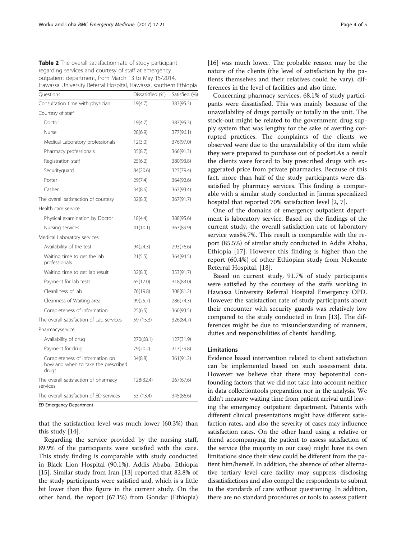<span id="page-3-0"></span>Table 2 The overall satisfaction rate of study participant regarding services and courtesy of staff at emergency outpatient department, from March 13 to May 15/2014, Hawassa University Referral Hospital, Hawassa, southern Ethiopia

| Ouestions                                                                      | Dissatisfied (%) | Satisfied (%) |
|--------------------------------------------------------------------------------|------------------|---------------|
| Consultation time with physician                                               | 19(4.7)          | 383(95.3)     |
| Courtesy of staff                                                              |                  |               |
| Doctor                                                                         | 19(4.7)          | 387(95.3)     |
| Nurse                                                                          | 28(6.9)          | 377(96.1)     |
| Medical Laboratory professionals                                               | 12(3.0)          | 376(97.0)     |
| Pharmacy professionals                                                         | 35(8.7)          | 366(91.3)     |
| Registration staff                                                             | 25(6.2)          | 380(93.8)     |
| Securityguard                                                                  | 84(20.6)         | 323(79.4)     |
| Porter                                                                         | 29(7.4)          | 364(92.6)     |
| Casher                                                                         | 34(8.6)          | 363(93.4)     |
| The overall satisfaction of courtesy                                           | 32(8.3)          | 367(91.7)     |
| Health care service                                                            |                  |               |
| Physical examination by Doctor                                                 | 18(4.4)          | 388(95.6)     |
| Nursing services                                                               | 41(10.1)         | 363(89.9)     |
| Medical Laboratory services                                                    |                  |               |
| Availability of the test                                                       | 94(24.3)         | 293(76.6)     |
| Waiting time to get the lab<br>professionals                                   | 21(5.5)          | 364(94.5)     |
| Waiting time to get lab result                                                 | 32(8.3)          | 353(91.7)     |
| Payment for lab tests.                                                         | 65(17.0)         | 318(83.0)     |
| Cleanliness of lab                                                             | 76(19.8)         | 308(81.2)     |
| Cleanness of Waiting area                                                      | 99(25.7)         | 286(74.3)     |
| Completeness of information                                                    | 25(6.5)          | 360(93.5)     |
| The overall satisfaction of Lab services                                       | 59 (15.3)        | 326(84.7)     |
| Pharmacyservice                                                                |                  |               |
| Availability of drug                                                           | 270(68.1)        | 127(31.9)     |
| Payment for drug                                                               | 79(20.2)         | 313(79.8)     |
| Completeness of information on<br>how and when to take the prescribed<br>drugs | 34(8.8)          | 361(91.2)     |
| The overall satisfaction of pharmacy<br>services                               | 128(32.4)        | 267(67.6)     |
| The overall satisfaction of ED services                                        | 53 (13.4)        | 345(86.6)     |

ED Emergency Department

that the satisfaction level was much lower (60.3%) than this study [\[14](#page-4-0)].

Regarding the service provided by the nursing staff, 89.9% of the participants were satisfied with the care. This study finding is comparable with study conducted in Black Lion Hospital (90.1%), Addis Ababa, Ethiopia [[15\]](#page-4-0). Similar study from Iran [[13\]](#page-4-0) reported that 82.8% of the study participants were satisfied and, which is a little bit lower than this figure in the current study. On the other hand, the report (67.1%) from Gondar (Ethiopia)

[[16\]](#page-4-0) was much lower. The probable reason may be the nature of the clients (the level of satisfaction by the patients themselves and their relatives could be vary), differences in the level of facilities and also time.

Concerning pharmacy services, 68.1% of study participants were dissatisfied. This was mainly because of the unavailability of drugs partially or totally in the unit. The stock-out might be related to the government drug supply system that was lengthy for the sake of averting corrupted practices. The complaints of the clients we observed were due to the unavailability of the item while they were prepared to purchase out of pocket.As a result the clients were forced to buy prescribed drugs with exaggerated price from private pharmacies. Because of this fact, more than half of the study participants were dissatisfied by pharmacy services. This finding is comparable with a similar study conducted in Jimma specialized hospital that reported 70% satisfaction level [\[2](#page-4-0), [7](#page-4-0)].

One of the domains of emergency outpatient department is laboratory service. Based on the findings of the current study, the overall satisfaction rate of laboratory service was84.7%. This result is comparable with the report (85.5%) of similar study conducted in Addis Ababa, Ethiopia [[17\]](#page-4-0). However this finding is higher than the report (60.4%) of other Ethiopian study from Nekemte Referral Hospital, [[18](#page-4-0)].

Based on current study, 91.7% of study participants were satisfied by the courtesy of the staffs working in Hawassa University Referral Hospital Emergency OPD. However the satisfaction rate of study participants about their encounter with security guards was relatively low compared to the study conducted in Iran [\[13](#page-4-0)]. The differences might be due to misunderstanding of manners, duties and responsibilities of clients' handling.

## Limitations

Evidence based intervention related to client satisfaction can be implemented based on such assessment data. However we believe that there may bepotential confounding factors that we did not take into account neither in data collectiontools preparation nor in the analysis. We didn't measure waiting time from patient arrival until leaving the emergency outpatient department. Patients with different clinical presentations might have different satisfaction rates, and also the severity of cases may influence satisfaction rates. On the other hand using a relative or friend accompanying the patient to assess satisfaction of the service (the majority in our case) might have its own limitations since their view could be different from the patient him/herself. In addition, the absence of other alternative tertiary level care facility may suppress disclosing dissatisfactions and also compel the respondents to submit to the standards of care without questioning. In addition, there are no standard procedures or tools to assess patient